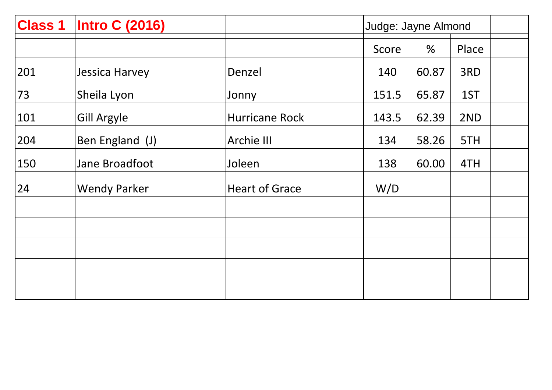| <b>Class 1</b> | <b>Intro C (2016)</b> |                       |       | Judge: Jayne Almond |       |  |
|----------------|-----------------------|-----------------------|-------|---------------------|-------|--|
|                |                       |                       | Score | %                   | Place |  |
| 201            | Jessica Harvey        | Denzel                | 140   | 60.87               | 3RD   |  |
| 73             | Sheila Lyon           | Jonny                 | 151.5 | 65.87               | 1ST   |  |
| 101            | <b>Gill Argyle</b>    | <b>Hurricane Rock</b> | 143.5 | 62.39               | 2ND   |  |
| 204            | Ben England (J)       | Archie III            | 134   | 58.26               | 5TH   |  |
| 150            | Jane Broadfoot        | Joleen                | 138   | 60.00               | 4TH   |  |
| 24             | <b>Wendy Parker</b>   | <b>Heart of Grace</b> | W/D   |                     |       |  |
|                |                       |                       |       |                     |       |  |
|                |                       |                       |       |                     |       |  |
|                |                       |                       |       |                     |       |  |
|                |                       |                       |       |                     |       |  |
|                |                       |                       |       |                     |       |  |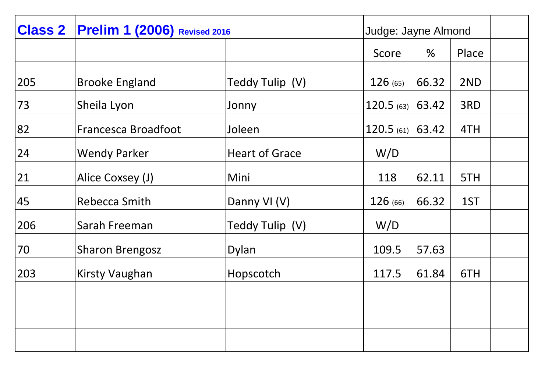| <b>Class 2</b> | <b>Prelim 1 (2006)</b> Revised 2016 |                       |                    | Judge: Jayne Almond |       |  |
|----------------|-------------------------------------|-----------------------|--------------------|---------------------|-------|--|
|                |                                     |                       | Score              | %                   | Place |  |
| 205            | <b>Brooke England</b>               | Teddy Tulip (V)       | 126(65)            | 66.32               | 2ND   |  |
| 73             | Sheila Lyon                         | Jonny                 | $120.5$ (63)       | 63.42               | 3RD   |  |
| 82             | Francesca Broadfoot                 | Joleen                | $120.5$ (61) 63.42 |                     | 4TH   |  |
| 24             | <b>Wendy Parker</b>                 | <b>Heart of Grace</b> | W/D                |                     |       |  |
| 21             | Alice Coxsey (J)                    | Mini                  | 118                | 62.11               | 5TH   |  |
| 45             | Rebecca Smith                       | Danny VI (V)          | 126 (66)           | 66.32               | 1ST   |  |
| 206            | Sarah Freeman                       | Teddy Tulip (V)       | W/D                |                     |       |  |
| 70             | <b>Sharon Brengosz</b>              | Dylan                 | 109.5              | 57.63               |       |  |
| 203            | <b>Kirsty Vaughan</b>               | Hopscotch             | 117.5              | 61.84               | 6TH   |  |
|                |                                     |                       |                    |                     |       |  |
|                |                                     |                       |                    |                     |       |  |
|                |                                     |                       |                    |                     |       |  |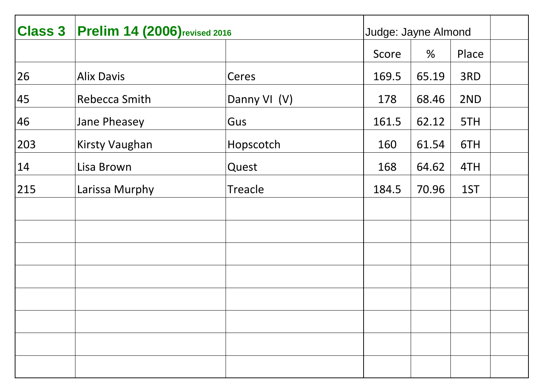| <b>Class 3</b> | <b>Prelim 14 (2006)</b> revised 2016 |              | Judge: Jayne Almond |       |       |
|----------------|--------------------------------------|--------------|---------------------|-------|-------|
|                |                                      |              | Score               | %     | Place |
| 26             | <b>Alix Davis</b>                    | Ceres        | 169.5               | 65.19 | 3RD   |
| 45             | Rebecca Smith                        | Danny VI (V) | 178                 | 68.46 | 2ND   |
| 46             | Jane Pheasey                         | Gus          | 161.5               | 62.12 | 5TH   |
| 203            | <b>Kirsty Vaughan</b>                | Hopscotch    | 160                 | 61.54 | 6TH   |
| 14             | Lisa Brown                           | Quest        | 168                 | 64.62 | 4TH   |
| 215            | Larissa Murphy                       | Treacle      | 184.5               | 70.96 | 1ST   |
|                |                                      |              |                     |       |       |
|                |                                      |              |                     |       |       |
|                |                                      |              |                     |       |       |
|                |                                      |              |                     |       |       |
|                |                                      |              |                     |       |       |
|                |                                      |              |                     |       |       |
|                |                                      |              |                     |       |       |
|                |                                      |              |                     |       |       |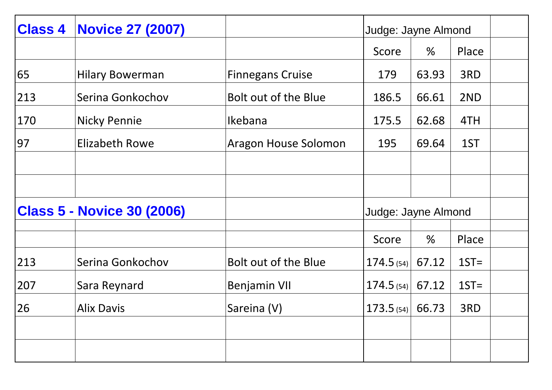| <b>Class 4</b>                    | <b>Novice 27 (2007)</b> |                         | Judge: Jayne Almond  |       |         |  |
|-----------------------------------|-------------------------|-------------------------|----------------------|-------|---------|--|
|                                   |                         |                         | Score                | $\%$  | Place   |  |
| 65                                | <b>Hilary Bowerman</b>  | <b>Finnegans Cruise</b> | 179                  | 63.93 | 3RD     |  |
| 213                               | Serina Gonkochov        | Bolt out of the Blue    | 186.5                | 66.61 | 2ND     |  |
| 170                               | <b>Nicky Pennie</b>     | Ikebana                 | 175.5                | 62.68 | 4TH     |  |
| 97                                | <b>Elizabeth Rowe</b>   | Aragon House Solomon    | 195                  | 69.64 | 1ST     |  |
|                                   |                         |                         |                      |       |         |  |
|                                   |                         |                         |                      |       |         |  |
| <b>Class 5 - Novice 30 (2006)</b> |                         |                         | Judge: Jayne Almond  |       |         |  |
|                                   |                         |                         | Score                | %     | Place   |  |
| 213                               | Serina Gonkochov        | Bolt out of the Blue    | 174.5(54)            | 67.12 | $1ST =$ |  |
| 207                               | Sara Reynard            | <b>Benjamin VII</b>     | 174.5(54)            | 67.12 | $1ST =$ |  |
| 26                                | <b>Alix Davis</b>       | Sareina (V)             | $173.5_{(54)}$ 66.73 |       | 3RD     |  |
|                                   |                         |                         |                      |       |         |  |
|                                   |                         |                         |                      |       |         |  |